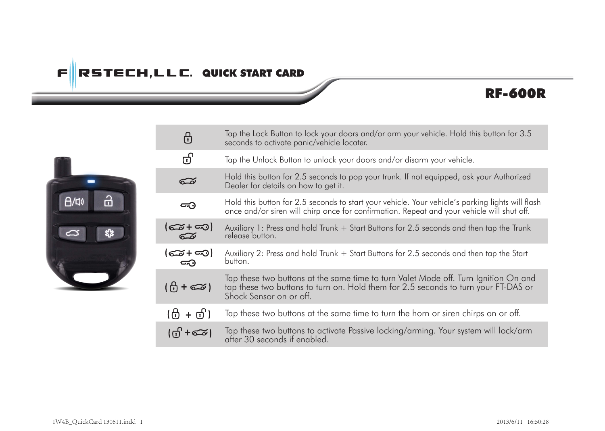# $\mathsf{F}\Vert$ RSTECH,LLC. QUICK START CARD

## RF-600R



| ⊕                         | Tap the Lock Button to lock your doors and/or arm your vehicle. Hold this button for 3.5<br>seconds to activate panic/vehicle locater.                                                               |
|---------------------------|------------------------------------------------------------------------------------------------------------------------------------------------------------------------------------------------------|
| ග්                        | Tap the Unlock Button to unlock your doors and/or disarm your vehicle.                                                                                                                               |
| డ                         | Hold this button for 2.5 seconds to pop your trunk. If not equipped, ask your Authorized<br>Dealer for details on how to get it.                                                                     |
| ≂ಾ                        | Hold this button for 2.5 seconds to start your vehicle. Your vehicle's parking lights will flash<br>once and/or siren will chirp once for confirmation. Repeat and your vehicle will shut off.       |
| $\widetilde{\infty}$      | Auxiliary 1: Press and hold Trunk + Start Buttons for 2.5 seconds and then tap the Trunk<br>release button.                                                                                          |
| <del>ර</del> ු+ තෙ)<br>౼⊙ | Auxiliary 2: Press and hold Trunk + Start Buttons for 2.5 seconds and then tap the Start<br>button.                                                                                                  |
| $\theta$ + $\infty$ )     | Tap these two buttons at the same time to turn Valet Mode off. Turn Ignition On and<br>tap these two buttons to turn on. Hold them for 2.5 seconds to turn your FT-DAS or<br>Shock Sensor on or off. |
| (⊕ + ত)।                  | Tap these two buttons at the same time to turn the horn or siren chirps on or off.                                                                                                                   |
| (ග් +කෙ)                  | Tap these two buttons to activate Passive locking/arming. Your system will lock/arm<br>after 30 seconds if enabled.                                                                                  |